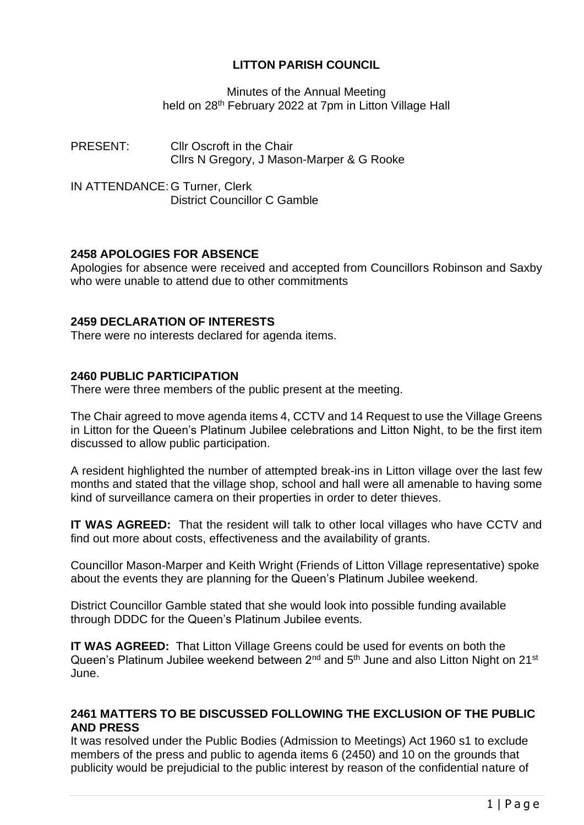# **LITTON PARISH COUNCIL**

Minutes of the Annual Meeting held on 28<sup>th</sup> February 2022 at 7pm in Litton Village Hall

PRESENT: Cllr Oscroft in the Chair Cllrs N Gregory, J Mason-Marper & G Rooke

IN ATTENDANCE: G Turner, Clerk District Councillor C Gamble

## **2458 APOLOGIES FOR ABSENCE**

Apologies for absence were received and accepted from Councillors Robinson and Saxby who were unable to attend due to other commitments

## **2459 DECLARATION OF INTERESTS**

There were no interests declared for agenda items.

## **2460 PUBLIC PARTICIPATION**

There were three members of the public present at the meeting.

The Chair agreed to move agenda items 4, CCTV and 14 Request to use the Village Greens in Litton for the Queen's Platinum Jubilee celebrations and Litton Night, to be the first item discussed to allow public participation.

A resident highlighted the number of attempted break-ins in Litton village over the last few months and stated that the village shop, school and hall were all amenable to having some kind of surveillance camera on their properties in order to deter thieves.

**IT WAS AGREED:** That the resident will talk to other local villages who have CCTV and find out more about costs, effectiveness and the availability of grants.

Councillor Mason-Marper and Keith Wright (Friends of Litton Village representative) spoke about the events they are planning for the Queen's Platinum Jubilee weekend.

District Councillor Gamble stated that she would look into possible funding available through DDDC for the Queen's Platinum Jubilee events.

**IT WAS AGREED:** That Litton Village Greens could be used for events on both the Queen's Platinum Jubilee weekend between 2<sup>nd</sup> and 5<sup>th</sup> June and also Litton Night on 21<sup>st</sup> June.

## **2461 MATTERS TO BE DISCUSSED FOLLOWING THE EXCLUSION OF THE PUBLIC AND PRESS**

It was resolved under the Public Bodies (Admission to Meetings) Act 1960 s1 to exclude members of the press and public to agenda items 6 (2450) and 10 on the grounds that publicity would be prejudicial to the public interest by reason of the confidential nature of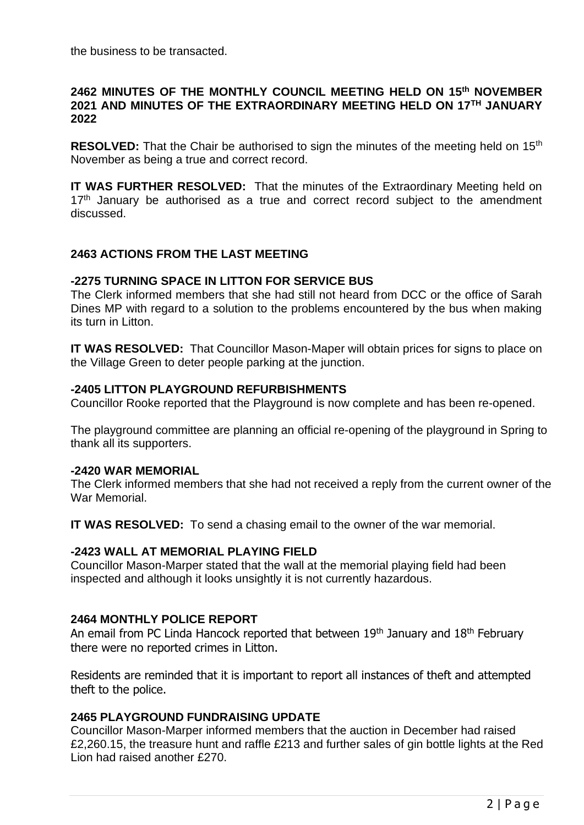the business to be transacted.

#### **2462 MINUTES OF THE MONTHLY COUNCIL MEETING HELD ON 15th NOVEMBER 2021 AND MINUTES OF THE EXTRAORDINARY MEETING HELD ON 17TH JANUARY 2022**

**RESOLVED:** That the Chair be authorised to sign the minutes of the meeting held on 15<sup>th</sup> November as being a true and correct record.

**IT WAS FURTHER RESOLVED:** That the minutes of the Extraordinary Meeting held on  $17<sup>th</sup>$  January be authorised as a true and correct record subject to the amendment discussed.

## **2463 ACTIONS FROM THE LAST MEETING**

#### **-2275 TURNING SPACE IN LITTON FOR SERVICE BUS**

The Clerk informed members that she had still not heard from DCC or the office of Sarah Dines MP with regard to a solution to the problems encountered by the bus when making its turn in Litton.

**IT WAS RESOLVED:** That Councillor Mason-Maper will obtain prices for signs to place on the Village Green to deter people parking at the junction.

## **-2405 LITTON PLAYGROUND REFURBISHMENTS**

Councillor Rooke reported that the Playground is now complete and has been re-opened.

The playground committee are planning an official re-opening of the playground in Spring to thank all its supporters.

#### **-2420 WAR MEMORIAL**

The Clerk informed members that she had not received a reply from the current owner of the War Memorial.

**IT WAS RESOLVED:** To send a chasing email to the owner of the war memorial.

## **-2423 WALL AT MEMORIAL PLAYING FIELD**

Councillor Mason-Marper stated that the wall at the memorial playing field had been inspected and although it looks unsightly it is not currently hazardous.

## **2464 MONTHLY POLICE REPORT**

An email from PC Linda Hancock reported that between  $19<sup>th</sup>$  January and  $18<sup>th</sup>$  February there were no reported crimes in Litton.

Residents are reminded that it is important to report all instances of theft and attempted theft to the police.

## **2465 PLAYGROUND FUNDRAISING UPDATE**

Councillor Mason-Marper informed members that the auction in December had raised £2,260.15, the treasure hunt and raffle £213 and further sales of gin bottle lights at the Red Lion had raised another £270.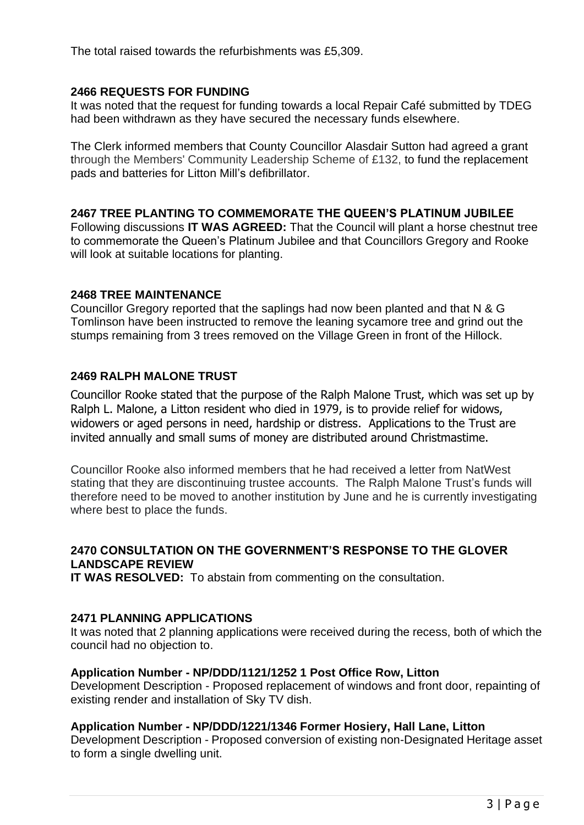The total raised towards the refurbishments was £5,309.

# **2466 REQUESTS FOR FUNDING**

It was noted that the request for funding towards a local Repair Café submitted by TDEG had been withdrawn as they have secured the necessary funds elsewhere.

The Clerk informed members that County Councillor Alasdair Sutton had agreed a grant through the Members' Community Leadership Scheme of £132, to fund the replacement pads and batteries for Litton Mill's defibrillator.

## **2467 TREE PLANTING TO COMMEMORATE THE QUEEN'S PLATINUM JUBILEE**

Following discussions **IT WAS AGREED:** That the Council will plant a horse chestnut tree to commemorate the Queen's Platinum Jubilee and that Councillors Gregory and Rooke will look at suitable locations for planting.

## **2468 TREE MAINTENANCE**

Councillor Gregory reported that the saplings had now been planted and that N & G Tomlinson have been instructed to remove the leaning sycamore tree and grind out the stumps remaining from 3 trees removed on the Village Green in front of the Hillock.

# **2469 RALPH MALONE TRUST**

Councillor Rooke stated that the purpose of the Ralph Malone Trust, which was set up by Ralph L. Malone, a Litton resident who died in 1979, is to provide relief for widows, widowers or aged persons in need, hardship or distress. Applications to the Trust are invited annually and small sums of money are distributed around Christmastime.

Councillor Rooke also informed members that he had received a letter from NatWest stating that they are discontinuing trustee accounts. The Ralph Malone Trust's funds will therefore need to be moved to another institution by June and he is currently investigating where best to place the funds.

## **2470 CONSULTATION ON THE GOVERNMENT'S RESPONSE TO THE GLOVER LANDSCAPE REVIEW**

**IT WAS RESOLVED:** To abstain from commenting on the consultation.

## **2471 PLANNING APPLICATIONS**

It was noted that 2 planning applications were received during the recess, both of which the council had no objection to.

## **Application Number - NP/DDD/1121/1252 1 Post Office Row, Litton**

Development Description - Proposed replacement of windows and front door, repainting of existing render and installation of Sky TV dish.

## **Application Number - NP/DDD/1221/1346 Former Hosiery, Hall Lane, Litton**

Development Description - Proposed conversion of existing non-Designated Heritage asset to form a single dwelling unit.